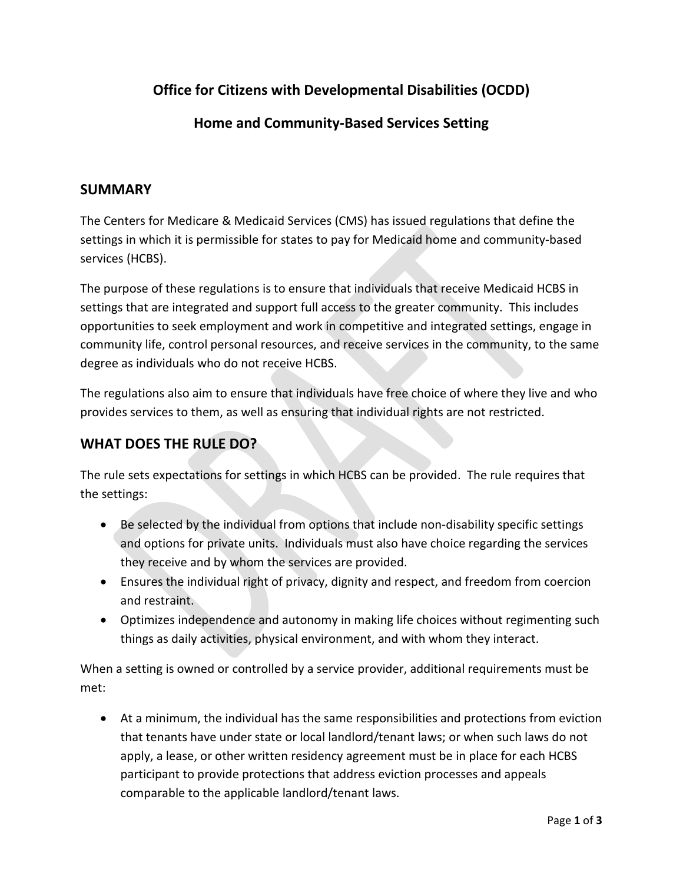# **Office for Citizens with Developmental Disabilities (OCDD)**

### **Home and Community-Based Services Setting**

#### **SUMMARY**

The Centers for Medicare & Medicaid Services (CMS) has issued regulations that define the settings in which it is permissible for states to pay for Medicaid home and community-based services (HCBS).

The purpose of these regulations is to ensure that individuals that receive Medicaid HCBS in settings that are integrated and support full access to the greater community. This includes opportunities to seek employment and work in competitive and integrated settings, engage in community life, control personal resources, and receive services in the community, to the same degree as individuals who do not receive HCBS.

The regulations also aim to ensure that individuals have free choice of where they live and who provides services to them, as well as ensuring that individual rights are not restricted.

### **WHAT DOES THE RULE DO?**

The rule sets expectations for settings in which HCBS can be provided. The rule requires that the settings:

- Be selected by the individual from options that include non-disability specific settings and options for private units. Individuals must also have choice regarding the services they receive and by whom the services are provided.
- Ensures the individual right of privacy, dignity and respect, and freedom from coercion and restraint.
- Optimizes independence and autonomy in making life choices without regimenting such things as daily activities, physical environment, and with whom they interact.

When a setting is owned or controlled by a service provider, additional requirements must be met:

• At a minimum, the individual has the same responsibilities and protections from eviction that tenants have under state or local landlord/tenant laws; or when such laws do not apply, a lease, or other written residency agreement must be in place for each HCBS participant to provide protections that address eviction processes and appeals comparable to the applicable landlord/tenant laws.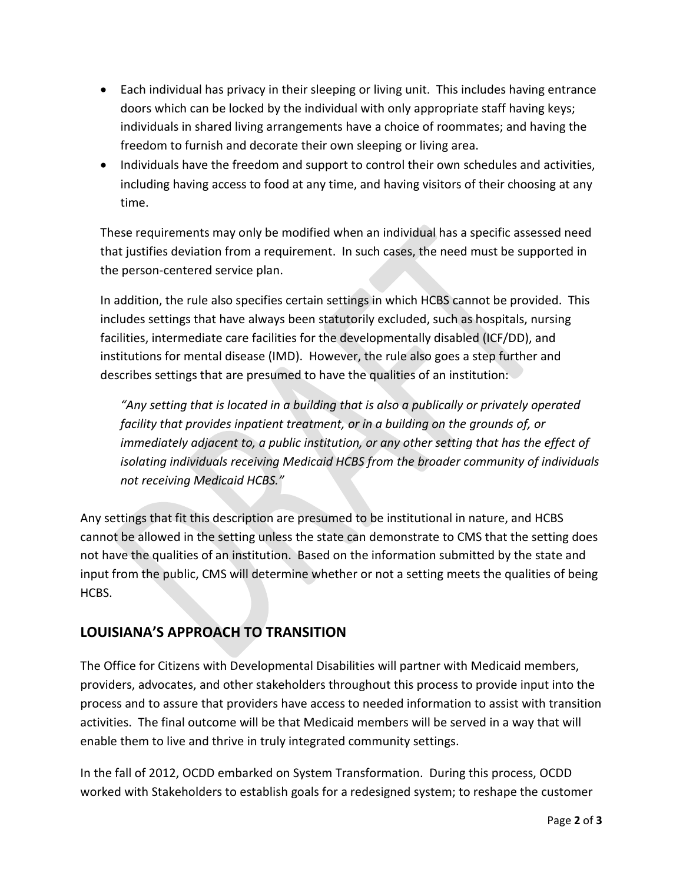- Each individual has privacy in their sleeping or living unit. This includes having entrance doors which can be locked by the individual with only appropriate staff having keys; individuals in shared living arrangements have a choice of roommates; and having the freedom to furnish and decorate their own sleeping or living area.
- Individuals have the freedom and support to control their own schedules and activities, including having access to food at any time, and having visitors of their choosing at any time.

These requirements may only be modified when an individual has a specific assessed need that justifies deviation from a requirement. In such cases, the need must be supported in the person-centered service plan.

In addition, the rule also specifies certain settings in which HCBS cannot be provided. This includes settings that have always been statutorily excluded, such as hospitals, nursing facilities, intermediate care facilities for the developmentally disabled (ICF/DD), and institutions for mental disease (IMD). However, the rule also goes a step further and describes settings that are presumed to have the qualities of an institution:

*"Any setting that is located in a building that is also a publically or privately operated facility that provides inpatient treatment, or in a building on the grounds of, or immediately adjacent to, a public institution, or any other setting that has the effect of isolating individuals receiving Medicaid HCBS from the broader community of individuals not receiving Medicaid HCBS."*

Any settings that fit this description are presumed to be institutional in nature, and HCBS cannot be allowed in the setting unless the state can demonstrate to CMS that the setting does not have the qualities of an institution. Based on the information submitted by the state and input from the public, CMS will determine whether or not a setting meets the qualities of being HCBS.

## **LOUISIANA'S APPROACH TO TRANSITION**

The Office for Citizens with Developmental Disabilities will partner with Medicaid members, providers, advocates, and other stakeholders throughout this process to provide input into the process and to assure that providers have access to needed information to assist with transition activities. The final outcome will be that Medicaid members will be served in a way that will enable them to live and thrive in truly integrated community settings.

In the fall of 2012, OCDD embarked on System Transformation. During this process, OCDD worked with Stakeholders to establish goals for a redesigned system; to reshape the customer